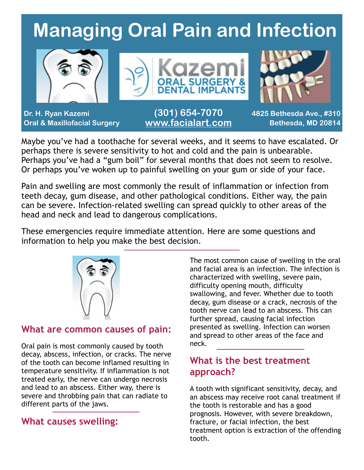# **Managing Oral Pain and Infection**



Maybe you've had a toothache for several weeks, and it seems to have escalated. Or perhaps there is severe sensitivity to hot and cold and the pain is unbearable. Perhaps you've had a "gum boil" for several months that does not seem to resolve. Or perhaps you've woken up to painful swelling on your gum or side of your face.

Pain and swelling are most commonly the result of inflammation or infection from teeth decay, gum disease, and other pathological conditions. Either way, the pain can be severe. Infection-related swelling can spread quickly to other areas of the head and neck and lead to dangerous complications.

These emergencies require immediate attention. Here are some questions and information to help you make the best decision.



#### **What are common causes of pain:**

Oral pain is most commonly caused by tooth decay, abscess, infection, or cracks. The nerve of the tooth can become inflamed resulting in temperature sensitivity. If inflammation is not treated early, the nerve can undergo necrosis and lead to an abscess. Either way, there is severe and throbbing pain that can radiate to different parts of the jaws.

#### **What causes swelling:**

The most common cause of swelling in the oral and facial area is an infection. The infection is characterized with swelling, severe pain, difficulty opening mouth, difficulty swallowing, and fever. Whether due to tooth decay, gum disease or a crack, necrosis of the tooth nerve can lead to an abscess. This can further spread, causing facial infection presented as swelling. Infection can worsen and spread to other areas of the face and neck.

#### **What is the best treatment approach?**

A tooth with significant sensitivity, decay, and an abscess may receive root canal treatment if the tooth is restorable and has a good prognosis. However, with severe breakdown, fracture, or facial infection, the best treatment option is extraction of the offending tooth.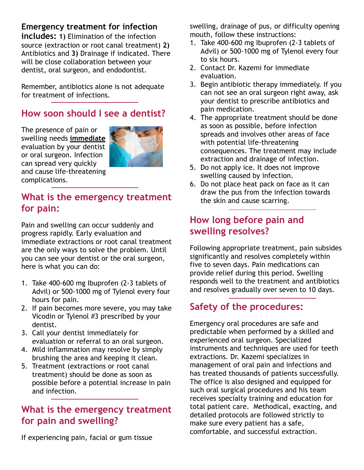#### **Emergency treatment for infection**

**includes: 1)** Elimination of the infection source (extraction or root canal treatment) **2)** Antibiotics and **3)** Drainage if indicated. There will be close collaboration between your dentist, oral surgeon, and endodontist.

Remember, antibiotics alone is not adequate for treatment of infections.

#### **How soon should I see a dentist?**

The presence of pain or swelling needs **immediate** evaluation by your dentist or oral surgeon. Infection can spread very quickly and cause life-threatening complications.



#### **What is the emergency treatment for pain:**

Pain and swelling can occur suddenly and progress rapidly. Early evaluation and immediate extractions or root canal treatment are the only ways to solve the problem. Until you can see your dentist or the oral surgeon, here is what you can do:

- 1. Take 400-600 mg Ibuprofen (2-3 tablets of Advil) or 500-1000 mg of Tylenol every four hours for pain.
- 2. If pain becomes more severe, you may take Vicodin or Tylenol #3 prescribed by your dentist.
- 3. Call your dentist immediately for evaluation or referral to an oral surgeon.
- 4. Mild inflammation may resolve by simply brushing the area and keeping it clean.
- 5. Treatment (extractions or root canal treatment) should be done as soon as possible before a potential increase in pain and infection.

#### **What is the emergency treatment for pain and swelling?**

If experiencing pain, facial or gum tissue

swelling, drainage of pus, or difficulty opening mouth, follow these instructions:

- 1. Take 400-600 mg Ibuprofen (2-3 tablets of Advil) or 500-1000 mg of Tylenol every four to six hours.
- 2. Contact Dr. Kazemi for immediate evaluation.
- 3. Begin antibiotic therapy immediately. If you can not see an oral surgeon right away, ask your dentist to prescribe antibiotics and pain medication.
- 4. The appropriate treatment should be done as soon as possible, before infection spreads and involves other areas of face with potential life-threatening consequences. The treatment may include extraction and drainage of infection.
- 5. Do not apply ice. It does not improve swelling caused by infection.
- 6. Do not place heat pack on face as it can draw the pus from the infection towards the skin and cause scarring.

#### **How long before pain and swelling resolves?**

Following appropriate treatment, pain subsides significantly and resolves completely within five to seven days. Pain medications can provide relief during this period. Swelling responds well to the treatment and antibiotics and resolves gradually over seven to 10 days.

### **Safety of the procedures:**

Emergency oral procedures are safe and predictable when performed by a skilled and experienced oral surgeon. Specialized instruments and techniques are used for teeth extractions. Dr. Kazemi specializes in management of oral pain and infections and has treated thousands of patients successfully. The office is also designed and equipped for such oral surgical procedures and his team receives specialty training and education for total patient care. Methodical, exacting, and detailed protocols are followed strictly to make sure every patient has a safe, comfortable, and successful extraction.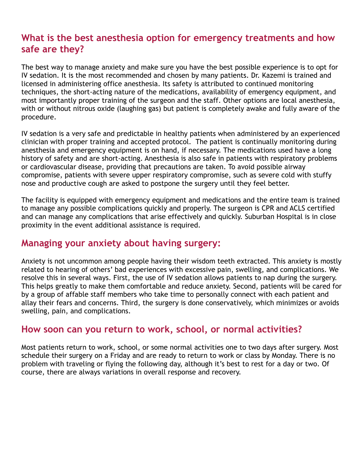#### **What is the best anesthesia option for emergency treatments and how safe are they?**

The best way to manage anxiety and make sure you have the best possible experience is to opt for IV sedation. It is the most recommended and chosen by many patients. Dr. Kazemi is trained and licensed in administering office anesthesia. Its safety is attributed to continued monitoring techniques, the short-acting nature of the medications, availability of emergency equipment, and most importantly proper training of the surgeon and the staff. Other options are local anesthesia, with or without nitrous oxide (laughing gas) but patient is completely awake and fully aware of the procedure.

IV sedation is a very safe and predictable in healthy patients when administered by an experienced clinician with proper training and accepted protocol. The patient is continually monitoring during anesthesia and emergency equipment is on hand, if necessary. The medications used have a long history of safety and are short-acting. Anesthesia is also safe in patients with respiratory problems or cardiovascular disease, providing that precautions are taken. To avoid possible airway compromise, patients with severe upper respiratory compromise, such as severe cold with stuffy nose and productive cough are asked to postpone the surgery until they feel better.

The facility is equipped with emergency equipment and medications and the entire team is trained to manage any possible complications quickly and properly. The surgeon is CPR and ACLS certified and can manage any complications that arise effectively and quickly. Suburban Hospital is in close proximity in the event additional assistance is required.

#### **Managing your anxiety about having surgery:**

Anxiety is not uncommon among people having their wisdom teeth extracted. This anxiety is mostly related to hearing of others' bad experiences with excessive pain, swelling, and complications. We resolve this in several ways. First, the use of IV sedation allows patients to nap during the surgery. This helps greatly to make them comfortable and reduce anxiety. Second, patients will be cared for by a group of affable staff members who take time to personally connect with each patient and allay their fears and concerns. Third, the surgery is done conservatively, which minimizes or avoids swelling, pain, and complications.

#### **How soon can you return to work, school, or normal activities?**

Most patients return to work, school, or some normal activities one to two days after surgery. Most schedule their surgery on a Friday and are ready to return to work or class by Monday. There is no problem with traveling or flying the following day, although it's best to rest for a day or two. Of course, there are always variations in overall response and recovery.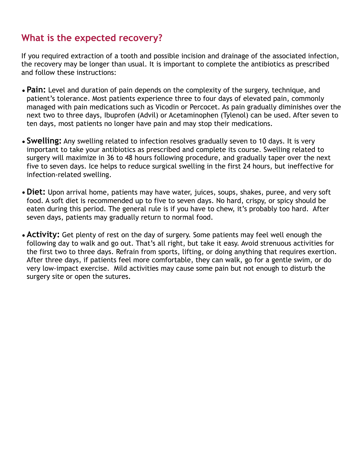#### **What is the expected recovery?**

If you required extraction of a tooth and possible incision and drainage of the associated infection, the recovery may be longer than usual. It is important to complete the antibiotics as prescribed and follow these instructions:

- •**Pain:** Level and duration of pain depends on the complexity of the surgery, technique, and patient's tolerance. Most patients experience three to four days of elevated pain, commonly managed with pain medications such as Vicodin or Percocet. As pain gradually diminishes over the next two to three days, Ibuprofen (Advil) or Acetaminophen (Tylenol) can be used. After seven to ten days, most patients no longer have pain and may stop their medications.
- •**Swelling:** Any swelling related to infection resolves gradually seven to 10 days. It is very important to take your antibiotics as prescribed and complete its course. Swelling related to surgery will maximize in 36 to 48 hours following procedure, and gradually taper over the next five to seven days. Ice helps to reduce surgical swelling in the first 24 hours, but ineffective for infection-related swelling.
- •**Diet:** Upon arrival home, patients may have water, juices, soups, shakes, puree, and very soft food. A soft diet is recommended up to five to seven days. No hard, crispy, or spicy should be eaten during this period. The general rule is if you have to chew, it's probably too hard. After seven days, patients may gradually return to normal food.
- •**Activity:** Get plenty of rest on the day of surgery. Some patients may feel well enough the following day to walk and go out. That's all right, but take it easy. Avoid strenuous activities for the first two to three days. Refrain from sports, lifting, or doing anything that requires exertion. After three days, if patients feel more comfortable, they can walk, go for a gentle swim, or do very low-impact exercise. Mild activities may cause some pain but not enough to disturb the surgery site or open the sutures.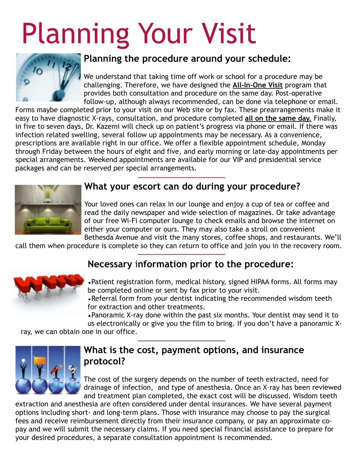# Planning Your Visit



#### **Planning the procedure around your schedule:**

We understand that taking time off work or school for a procedure may be challenging. Therefore, we have designed the **All-In-One Visit** program that provides both consultation and procedure on the same day. Post-operative follow-up, although always recommended, can be done via telephone or email.

Forms maybe completed prior to your visit on our Web site or by fax. These prearrangements make it easy to have diagnostic X-rays, consultation, and procedure completed **all on the same day.** Finally, in five to seven days, Dr. Kazemi will check up on patient's progress via phone or email. If there was infection related swelling, several follow up appointments may be necessary. As a convenience, prescriptions are available right in our office. We offer a flexible appointment schedule, Monday through Friday between the hours of eight and five, and early morning or late-day appointments per special arrangements. Weekend appointments are available for our VIP and presidential service packages and can be reserved per special arrangements.



#### **What your escort can do during your procedure?**

Your loved ones can relax in our lounge and enjoy a cup of tea or coffee and read the daily newspaper and wide selection of magazines. Or take advantage of our free Wi-Fi computer lounge to check emails and browse the internet on either your computer or ours. They may also take a stroll on convenient Bethesda Avenue and visit the many stores, coffee shops, and restaurants. We'll

call them when procedure is complete so they can return to office and join you in the recovery room.

## **Necessary** i**nformation prior to the procedure:**



•Patient registration form, medical history, signed HIPAA forms. All forms may be completed online or sent by fax prior to your visit.

•Referral form from your dentist indicating the recommended wisdom teeth for extraction and other treatments.

•Panoramic X-ray done within the past six months. Your dentist may send it to

us electronically or give you the film to bring. If you don't have a panoramic X-

ray, we can obtain one in our office.



#### **What is the cost, payment options, and insurance protocol?**

The cost of the surgery depends on the number of teeth extracted, need for drainage of infection, and type of anesthesia. Once an X-ray has been reviewed and treatment plan completed, the exact cost will be discussed. Wisdom teeth

extraction and anesthesia are often considered under dental insurances. We have several payment options including short- and long-term plans. Those with insurance may choose to pay the surgical fees and receive reimbursement directly from their insurance company, or pay an approximate copay and we will submit the necessary claims. If you need special financial assistance to prepare for your desired procedures, a separate consultation appointment is recommended.